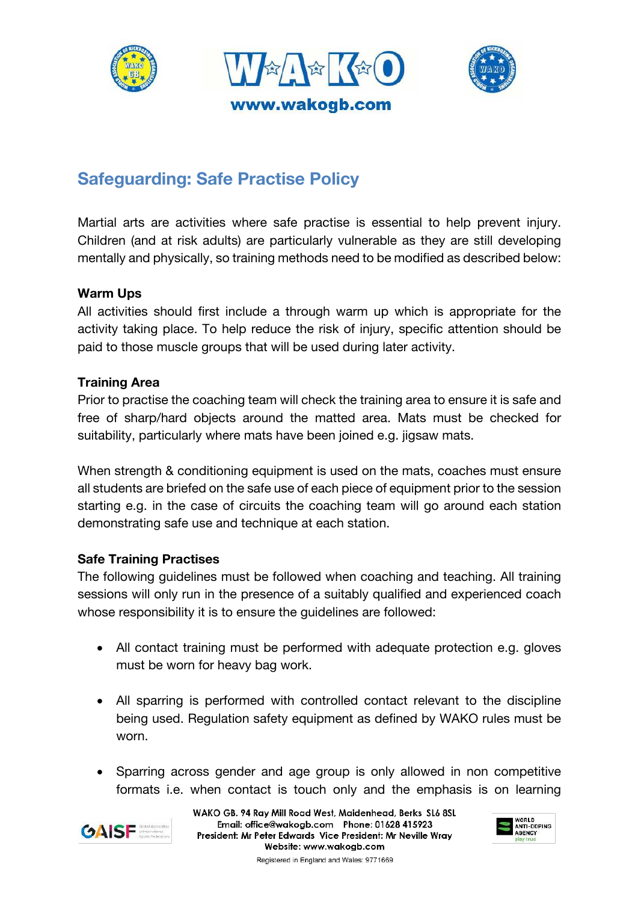





# **Safeguarding: Safe Practise Policy**

Martial arts are activities where safe practise is essential to help prevent injury. Children (and at risk adults) are particularly vulnerable as they are still developing mentally and physically, so training methods need to be modified as described below:

## **Warm Ups**

All activities should first include a through warm up which is appropriate for the activity taking place. To help reduce the risk of injury, specific attention should be paid to those muscle groups that will be used during later activity.

## **Training Area**

Prior to practise the coaching team will check the training area to ensure it is safe and free of sharp/hard objects around the matted area. Mats must be checked for suitability, particularly where mats have been joined e.g. jigsaw mats.

When strength & conditioning equipment is used on the mats, coaches must ensure all students are briefed on the safe use of each piece of equipment prior to the session starting e.g. in the case of circuits the coaching team will go around each station demonstrating safe use and technique at each station.

## **Safe Training Practises**

The following guidelines must be followed when coaching and teaching. All training sessions will only run in the presence of a suitably qualified and experienced coach whose responsibility it is to ensure the guidelines are followed:

- All contact training must be performed with adequate protection e.g. gloves must be worn for heavy bag work.
- All sparring is performed with controlled contact relevant to the discipline being used. Regulation safety equipment as defined by WAKO rules must be worn.
- Sparring across gender and age group is only allowed in non competitive formats i.e. when contact is touch only and the emphasis is on learning



WAKO GB. 94 Ray Mill Road West, Maidenhead, Berks SL6 8SL Email: office@wakogb.com Phone: 01628 415923 President: Mr Peter Edwards Vice President: Mr Neville Wray Website: www.wakoab.com